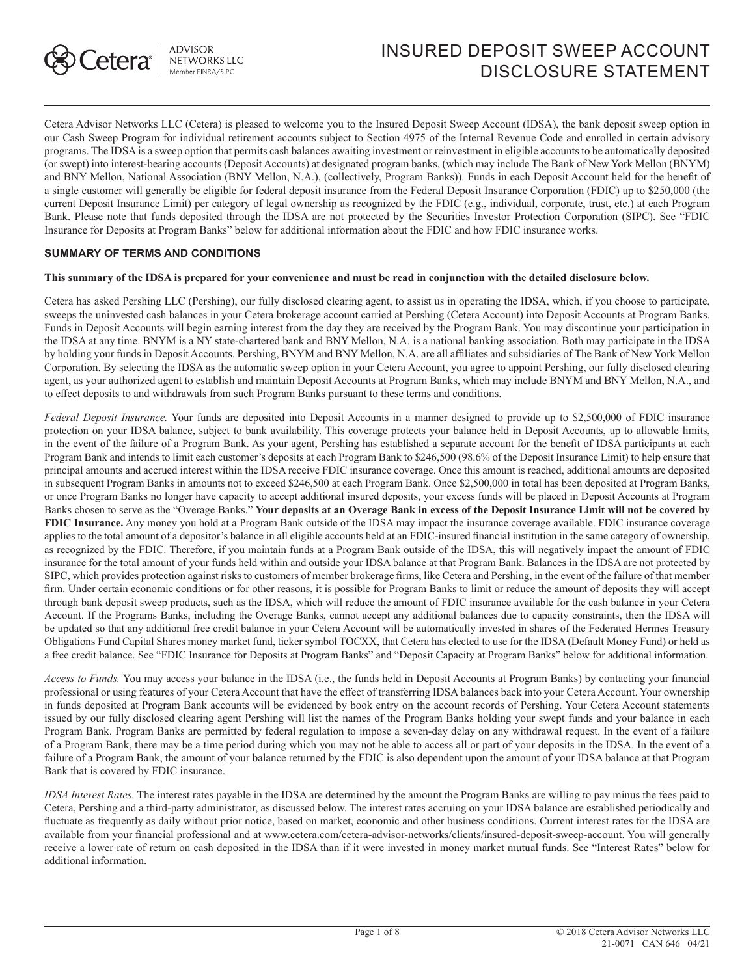

# INSURED DEPOSIT SWEEP ACCOUNT DISCLOSURE STATEMENT

Cetera Advisor Networks LLC (Cetera) is pleased to welcome you to the Insured Deposit Sweep Account (IDSA), the bank deposit sweep option in our Cash Sweep Program for individual retirement accounts subject to Section 4975 of the Internal Revenue Code and enrolled in certain advisory programs. The IDSA is a sweep option that permits cash balances awaiting investment or reinvestment in eligible accounts to be automatically deposited (or swept) into interest-bearing accounts (Deposit Accounts) at designated program banks, (which may include The Bank of New York Mellon (BNYM) and BNY Mellon, National Association (BNY Mellon, N.A.), (collectively, Program Banks)). Funds in each Deposit Account held for the benefit of a single customer will generally be eligible for federal deposit insurance from the Federal Deposit Insurance Corporation (FDIC) up to \$250,000 (the current Deposit Insurance Limit) per category of legal ownership as recognized by the FDIC (e.g., individual, corporate, trust, etc.) at each Program Bank. Please note that funds deposited through the IDSA are not protected by the Securities Investor Protection Corporation (SIPC). See "FDIC Insurance for Deposits at Program Banks" below for additional information about the FDIC and how FDIC insurance works.

## **SUMMARY OF TERMS AND CONDITIONS**

#### **This summary of the IDSA is prepared for your convenience and must be read in conjunction with the detailed disclosure below.**

Cetera has asked Pershing LLC (Pershing), our fully disclosed clearing agent, to assist us in operating the IDSA, which, if you choose to participate, sweeps the uninvested cash balances in your Cetera brokerage account carried at Pershing (Cetera Account) into Deposit Accounts at Program Banks. Funds in Deposit Accounts will begin earning interest from the day they are received by the Program Bank. You may discontinue your participation in the IDSA at any time. BNYM is a NY state-chartered bank and BNY Mellon, N.A. is a national banking association. Both may participate in the IDSA by holding your funds in Deposit Accounts. Pershing, BNYM and BNY Mellon, N.A. are all affiliates and subsidiaries of The Bank of New York Mellon Corporation. By selecting the IDSA as the automatic sweep option in your Cetera Account, you agree to appoint Pershing, our fully disclosed clearing agent, as your authorized agent to establish and maintain Deposit Accounts at Program Banks, which may include BNYM and BNY Mellon, N.A., and to effect deposits to and withdrawals from such Program Banks pursuant to these terms and conditions.

*Federal Deposit Insurance.* Your funds are deposited into Deposit Accounts in a manner designed to provide up to \$2,500,000 of FDIC insurance protection on your IDSA balance, subject to bank availability. This coverage protects your balance held in Deposit Accounts, up to allowable limits, in the event of the failure of a Program Bank. As your agent, Pershing has established a separate account for the benefit of IDSA participants at each Program Bank and intends to limit each customer's deposits at each Program Bank to \$246,500 (98.6% of the Deposit Insurance Limit) to help ensure that principal amounts and accrued interest within the IDSA receive FDIC insurance coverage. Once this amount is reached, additional amounts are deposited in subsequent Program Banks in amounts not to exceed \$246,500 at each Program Bank. Once \$2,500,000 in total has been deposited at Program Banks, or once Program Banks no longer have capacity to accept additional insured deposits, your excess funds will be placed in Deposit Accounts at Program Banks chosen to serve as the "Overage Banks." **Your deposits at an Overage Bank in excess of the Deposit Insurance Limit will not be covered by FDIC Insurance.** Any money you hold at a Program Bank outside of the IDSA may impact the insurance coverage available. FDIC insurance coverage applies to the total amount of a depositor's balance in all eligible accounts held at an FDIC-insured financial institution in the same category of ownership, as recognized by the FDIC. Therefore, if you maintain funds at a Program Bank outside of the IDSA, this will negatively impact the amount of FDIC insurance for the total amount of your funds held within and outside your IDSA balance at that Program Bank. Balances in the IDSA are not protected by SIPC, which provides protection against risks to customers of member brokerage firms, like Cetera and Pershing, in the event of the failure of that member firm. Under certain economic conditions or for other reasons, it is possible for Program Banks to limit or reduce the amount of deposits they will accept through bank deposit sweep products, such as the IDSA, which will reduce the amount of FDIC insurance available for the cash balance in your Cetera Account. If the Programs Banks, including the Overage Banks, cannot accept any additional balances due to capacity constraints, then the IDSA will be updated so that any additional free credit balance in your Cetera Account will be automatically invested in shares of the Federated Hermes Treasury Obligations Fund Capital Shares money market fund, ticker symbol TOCXX, that Cetera has elected to use for the IDSA (Default Money Fund) or held as a free credit balance. See "FDIC Insurance for Deposits at Program Banks" and "Deposit Capacity at Program Banks" below for additional information.

*Access to Funds.* You may access your balance in the IDSA (i.e., the funds held in Deposit Accounts at Program Banks) by contacting your financial professional or using features of your Cetera Account that have the effect of transferring IDSA balances back into your Cetera Account. Your ownership in funds deposited at Program Bank accounts will be evidenced by book entry on the account records of Pershing. Your Cetera Account statements issued by our fully disclosed clearing agent Pershing will list the names of the Program Banks holding your swept funds and your balance in each Program Bank. Program Banks are permitted by federal regulation to impose a seven-day delay on any withdrawal request. In the event of a failure of a Program Bank, there may be a time period during which you may not be able to access all or part of your deposits in the IDSA. In the event of a failure of a Program Bank, the amount of your balance returned by the FDIC is also dependent upon the amount of your IDSA balance at that Program Bank that is covered by FDIC insurance.

*IDSA Interest Rates.* The interest rates payable in the IDSA are determined by the amount the Program Banks are willing to pay minus the fees paid to Cetera, Pershing and a third-party administrator, as discussed below. The interest rates accruing on your IDSA balance are established periodically and fluctuate as frequently as daily without prior notice, based on market, economic and other business conditions. Current interest rates for the IDSA are available from your financial professional and at www.cetera.com/cetera-advisor-networks/clients/insured-deposit-sweep-account. You will generally receive a lower rate of return on cash deposited in the IDSA than if it were invested in money market mutual funds. See "Interest Rates" below for additional information.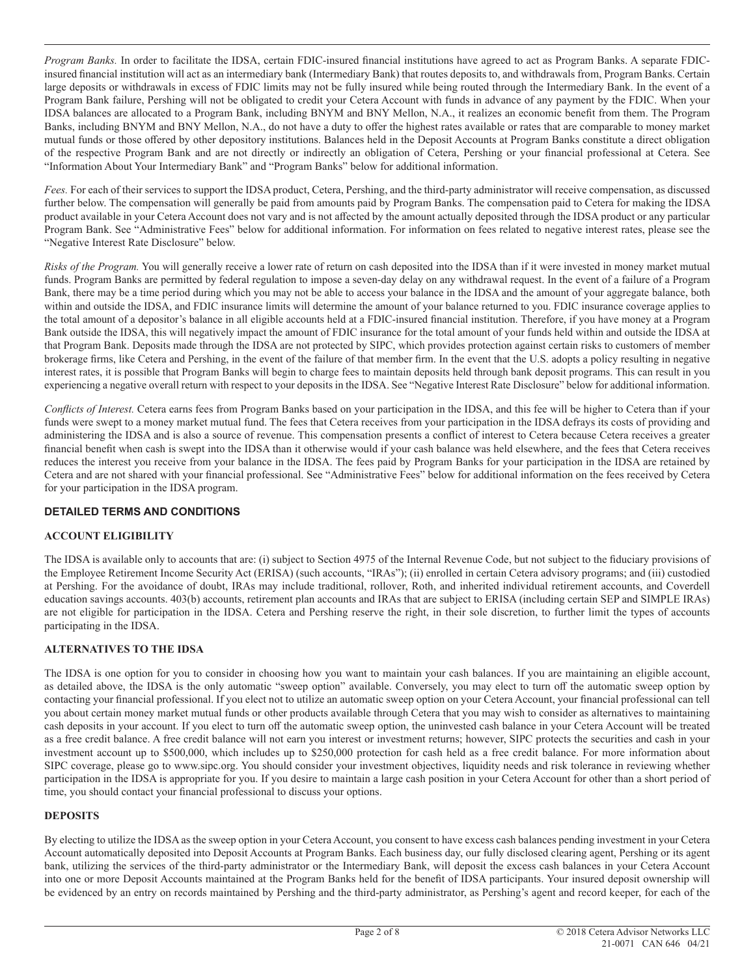*Program Banks.* In order to facilitate the IDSA, certain FDIC-insured financial institutions have agreed to act as Program Banks. A separate FDICinsured financial institution will act as an intermediary bank (Intermediary Bank) that routes deposits to, and withdrawals from, Program Banks. Certain large deposits or withdrawals in excess of FDIC limits may not be fully insured while being routed through the Intermediary Bank. In the event of a Program Bank failure, Pershing will not be obligated to credit your Cetera Account with funds in advance of any payment by the FDIC. When your IDSA balances are allocated to a Program Bank, including BNYM and BNY Mellon, N.A., it realizes an economic benefit from them. The Program Banks, including BNYM and BNY Mellon, N.A., do not have a duty to offer the highest rates available or rates that are comparable to money market mutual funds or those offered by other depository institutions. Balances held in the Deposit Accounts at Program Banks constitute a direct obligation of the respective Program Bank and are not directly or indirectly an obligation of Cetera, Pershing or your financial professional at Cetera. See "Information About Your Intermediary Bank" and "Program Banks" below for additional information.

*Fees.* For each of their services to support the IDSA product, Cetera, Pershing, and the third-party administrator will receive compensation, as discussed further below. The compensation will generally be paid from amounts paid by Program Banks. The compensation paid to Cetera for making the IDSA product available in your Cetera Account does not vary and is not affected by the amount actually deposited through the IDSA product or any particular Program Bank. See "Administrative Fees" below for additional information. For information on fees related to negative interest rates, please see the "Negative Interest Rate Disclosure" below.

*Risks of the Program.* You will generally receive a lower rate of return on cash deposited into the IDSA than if it were invested in money market mutual funds. Program Banks are permitted by federal regulation to impose a seven-day delay on any withdrawal request. In the event of a failure of a Program Bank, there may be a time period during which you may not be able to access your balance in the IDSA and the amount of your aggregate balance, both within and outside the IDSA, and FDIC insurance limits will determine the amount of your balance returned to you. FDIC insurance coverage applies to the total amount of a depositor's balance in all eligible accounts held at a FDIC-insured financial institution. Therefore, if you have money at a Program Bank outside the IDSA, this will negatively impact the amount of FDIC insurance for the total amount of your funds held within and outside the IDSA at that Program Bank. Deposits made through the IDSA are not protected by SIPC, which provides protection against certain risks to customers of member brokerage firms, like Cetera and Pershing, in the event of the failure of that member firm. In the event that the U.S. adopts a policy resulting in negative interest rates, it is possible that Program Banks will begin to charge fees to maintain deposits held through bank deposit programs. This can result in you experiencing a negative overall return with respect to your deposits in the IDSA. See "Negative Interest Rate Disclosure" below for additional information.

*Conflicts of Interest.* Cetera earns fees from Program Banks based on your participation in the IDSA, and this fee will be higher to Cetera than if your funds were swept to a money market mutual fund. The fees that Cetera receives from your participation in the IDSA defrays its costs of providing and administering the IDSA and is also a source of revenue. This compensation presents a conflict of interest to Cetera because Cetera receives a greater financial benefit when cash is swept into the IDSA than it otherwise would if your cash balance was held elsewhere, and the fees that Cetera receives reduces the interest you receive from your balance in the IDSA. The fees paid by Program Banks for your participation in the IDSA are retained by Cetera and are not shared with your financial professional. See "Administrative Fees" below for additional information on the fees received by Cetera for your participation in the IDSA program.

# **DETAILED TERMS AND CONDITIONS**

# **ACCOUNT ELIGIBILITY**

The IDSA is available only to accounts that are: (i) subject to Section 4975 of the Internal Revenue Code, but not subject to the fiduciary provisions of the Employee Retirement Income Security Act (ERISA) (such accounts, "IRAs"); (ii) enrolled in certain Cetera advisory programs; and (iii) custodied at Pershing. For the avoidance of doubt, IRAs may include traditional, rollover, Roth, and inherited individual retirement accounts, and Coverdell education savings accounts. 403(b) accounts, retirement plan accounts and IRAs that are subject to ERISA (including certain SEP and SIMPLE IRAs) are not eligible for participation in the IDSA. Cetera and Pershing reserve the right, in their sole discretion, to further limit the types of accounts participating in the IDSA.

# **ALTERNATIVES TO THE IDSA**

The IDSA is one option for you to consider in choosing how you want to maintain your cash balances. If you are maintaining an eligible account, as detailed above, the IDSA is the only automatic "sweep option" available. Conversely, you may elect to turn off the automatic sweep option by contacting your financial professional. If you elect not to utilize an automatic sweep option on your Cetera Account, your financial professional can tell you about certain money market mutual funds or other products available through Cetera that you may wish to consider as alternatives to maintaining cash deposits in your account. If you elect to turn off the automatic sweep option, the uninvested cash balance in your Cetera Account will be treated as a free credit balance. A free credit balance will not earn you interest or investment returns; however, SIPC protects the securities and cash in your investment account up to \$500,000, which includes up to \$250,000 protection for cash held as a free credit balance. For more information about SIPC coverage, please go to www.sipc.org. You should consider your investment objectives, liquidity needs and risk tolerance in reviewing whether participation in the IDSA is appropriate for you. If you desire to maintain a large cash position in your Cetera Account for other than a short period of time, you should contact your financial professional to discuss your options.

# **DEPOSITS**

By electing to utilize the IDSA as the sweep option in your Cetera Account, you consent to have excess cash balances pending investment in your Cetera Account automatically deposited into Deposit Accounts at Program Banks. Each business day, our fully disclosed clearing agent, Pershing or its agent bank, utilizing the services of the third-party administrator or the Intermediary Bank, will deposit the excess cash balances in your Cetera Account into one or more Deposit Accounts maintained at the Program Banks held for the benefit of IDSA participants. Your insured deposit ownership will be evidenced by an entry on records maintained by Pershing and the third-party administrator, as Pershing's agent and record keeper, for each of the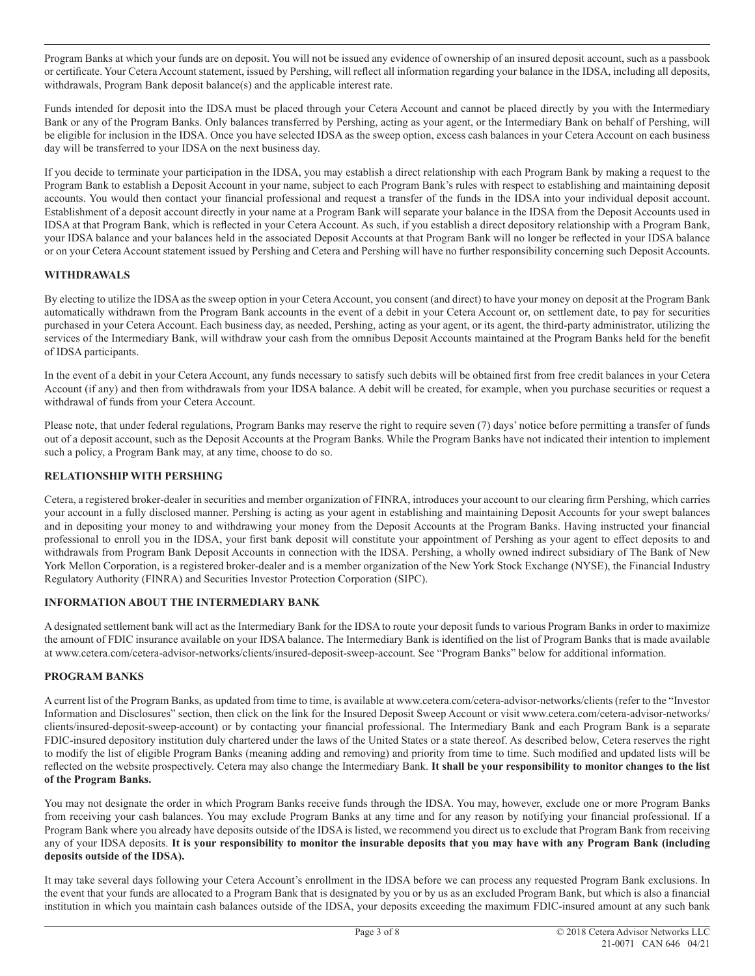Program Banks at which your funds are on deposit. You will not be issued any evidence of ownership of an insured deposit account, such as a passbook or certificate. Your Cetera Account statement, issued by Pershing, will reflect all information regarding your balance in the IDSA, including all deposits, withdrawals, Program Bank deposit balance(s) and the applicable interest rate.

Funds intended for deposit into the IDSA must be placed through your Cetera Account and cannot be placed directly by you with the Intermediary Bank or any of the Program Banks. Only balances transferred by Pershing, acting as your agent, or the Intermediary Bank on behalf of Pershing, will be eligible for inclusion in the IDSA. Once you have selected IDSA as the sweep option, excess cash balances in your Cetera Account on each business day will be transferred to your IDSA on the next business day.

If you decide to terminate your participation in the IDSA, you may establish a direct relationship with each Program Bank by making a request to the Program Bank to establish a Deposit Account in your name, subject to each Program Bank's rules with respect to establishing and maintaining deposit accounts. You would then contact your financial professional and request a transfer of the funds in the IDSA into your individual deposit account. Establishment of a deposit account directly in your name at a Program Bank will separate your balance in the IDSA from the Deposit Accounts used in IDSA at that Program Bank, which is reflected in your Cetera Account. As such, if you establish a direct depository relationship with a Program Bank, your IDSA balance and your balances held in the associated Deposit Accounts at that Program Bank will no longer be reflected in your IDSA balance or on your Cetera Account statement issued by Pershing and Cetera and Pershing will have no further responsibility concerning such Deposit Accounts.

# **WITHDRAWALS**

By electing to utilize the IDSA as the sweep option in your Cetera Account, you consent (and direct) to have your money on deposit at the Program Bank automatically withdrawn from the Program Bank accounts in the event of a debit in your Cetera Account or, on settlement date, to pay for securities purchased in your Cetera Account. Each business day, as needed, Pershing, acting as your agent, or its agent, the third-party administrator, utilizing the services of the Intermediary Bank, will withdraw your cash from the omnibus Deposit Accounts maintained at the Program Banks held for the benefit of IDSA participants.

In the event of a debit in your Cetera Account, any funds necessary to satisfy such debits will be obtained first from free credit balances in your Cetera Account (if any) and then from withdrawals from your IDSA balance. A debit will be created, for example, when you purchase securities or request a withdrawal of funds from your Cetera Account.

Please note, that under federal regulations, Program Banks may reserve the right to require seven (7) days' notice before permitting a transfer of funds out of a deposit account, such as the Deposit Accounts at the Program Banks. While the Program Banks have not indicated their intention to implement such a policy, a Program Bank may, at any time, choose to do so.

## **RELATIONSHIP WITH PERSHING**

Cetera, a registered broker-dealer in securities and member organization of FINRA, introduces your account to our clearing firm Pershing, which carries your account in a fully disclosed manner. Pershing is acting as your agent in establishing and maintaining Deposit Accounts for your swept balances and in depositing your money to and withdrawing your money from the Deposit Accounts at the Program Banks. Having instructed your financial professional to enroll you in the IDSA, your first bank deposit will constitute your appointment of Pershing as your agent to effect deposits to and withdrawals from Program Bank Deposit Accounts in connection with the IDSA. Pershing, a wholly owned indirect subsidiary of The Bank of New York Mellon Corporation, is a registered broker-dealer and is a member organization of the New York Stock Exchange (NYSE), the Financial Industry Regulatory Authority (FINRA) and Securities Investor Protection Corporation (SIPC).

#### **INFORMATION ABOUT THE INTERMEDIARY BANK**

A designated settlement bank will act as the Intermediary Bank for the IDSA to route your deposit funds to various Program Banks in order to maximize the amount of FDIC insurance available on your IDSA balance. The Intermediary Bank is identified on the list of Program Banks that is made available at www.cetera.com/cetera-advisor-networks/clients/insured-deposit-sweep-account. See "Program Banks" below for additional information.

#### **PROGRAM BANKS**

A current list of the Program Banks, as updated from time to time, is available at www.cetera.com/cetera-advisor-networks/clients (refer to the "Investor Information and Disclosures" section, then click on the link for the Insured Deposit Sweep Account or visit www.cetera.com/cetera-advisor-networks/ clients/insured-deposit-sweep-account) or by contacting your financial professional. The Intermediary Bank and each Program Bank is a separate FDIC-insured depository institution duly chartered under the laws of the United States or a state thereof. As described below, Cetera reserves the right to modify the list of eligible Program Banks (meaning adding and removing) and priority from time to time. Such modified and updated lists will be reflected on the website prospectively. Cetera may also change the Intermediary Bank. **It shall be your responsibility to monitor changes to the list of the Program Banks.**

You may not designate the order in which Program Banks receive funds through the IDSA. You may, however, exclude one or more Program Banks from receiving your cash balances. You may exclude Program Banks at any time and for any reason by notifying your financial professional. If a Program Bank where you already have deposits outside of the IDSA is listed, we recommend you direct us to exclude that Program Bank from receiving any of your IDSA deposits. **It is your responsibility to monitor the insurable deposits that you may have with any Program Bank (including deposits outside of the IDSA).**

It may take several days following your Cetera Account's enrollment in the IDSA before we can process any requested Program Bank exclusions. In the event that your funds are allocated to a Program Bank that is designated by you or by us as an excluded Program Bank, but which is also a financial institution in which you maintain cash balances outside of the IDSA, your deposits exceeding the maximum FDIC-insured amount at any such bank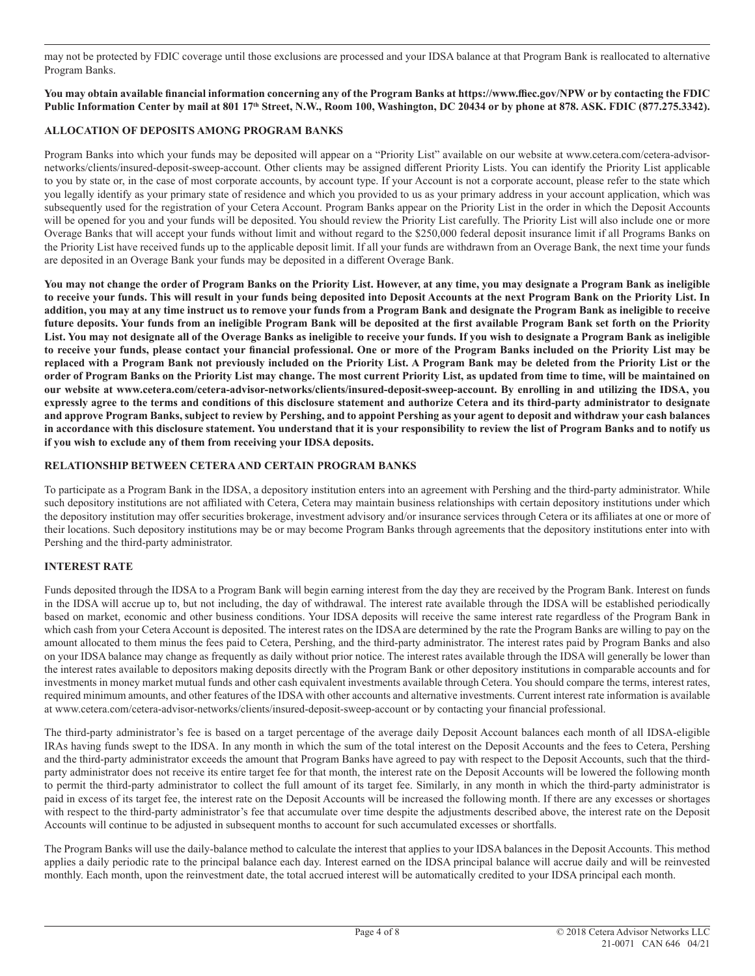may not be protected by FDIC coverage until those exclusions are processed and your IDSA balance at that Program Bank is reallocated to alternative Program Banks.

#### **You may obtain available financial information concerning any of the Program Banks at https://www.ffiec.gov/NPW or by contacting the FDIC**  Public Information Center by mail at 801 17<sup>th</sup> Street, N.W., Room 100, Washington, DC 20434 or by phone at 878. ASK. FDIC (877.275.3342).

## **ALLOCATION OF DEPOSITS AMONG PROGRAM BANKS**

Program Banks into which your funds may be deposited will appear on a "Priority List" available on our website at www.cetera.com/cetera-advisornetworks/clients/insured-deposit-sweep-account. Other clients may be assigned different Priority Lists. You can identify the Priority List applicable to you by state or, in the case of most corporate accounts, by account type. If your Account is not a corporate account, please refer to the state which you legally identify as your primary state of residence and which you provided to us as your primary address in your account application, which was subsequently used for the registration of your Cetera Account. Program Banks appear on the Priority List in the order in which the Deposit Accounts will be opened for you and your funds will be deposited. You should review the Priority List carefully. The Priority List will also include one or more Overage Banks that will accept your funds without limit and without regard to the \$250,000 federal deposit insurance limit if all Programs Banks on the Priority List have received funds up to the applicable deposit limit. If all your funds are withdrawn from an Overage Bank, the next time your funds are deposited in an Overage Bank your funds may be deposited in a different Overage Bank.

**You may not change the order of Program Banks on the Priority List. However, at any time, you may designate a Program Bank as ineligible to receive your funds. This will result in your funds being deposited into Deposit Accounts at the next Program Bank on the Priority List. In addition, you may at any time instruct us to remove your funds from a Program Bank and designate the Program Bank as ineligible to receive future deposits. Your funds from an ineligible Program Bank will be deposited at the first available Program Bank set forth on the Priority List. You may not designate all of the Overage Banks as ineligible to receive your funds. If you wish to designate a Program Bank as ineligible to receive your funds, please contact your financial professional. One or more of the Program Banks included on the Priority List may be replaced with a Program Bank not previously included on the Priority List. A Program Bank may be deleted from the Priority List or the order of Program Banks on the Priority List may change. The most current Priority List, as updated from time to time, will be maintained on our website at www.cetera.com/cetera-advisor-networks/clients/insured-deposit-sweep-account. By enrolling in and utilizing the IDSA, you expressly agree to the terms and conditions of this disclosure statement and authorize Cetera and its third-party administrator to designate and approve Program Banks, subject to review by Pershing, and to appoint Pershing as your agent to deposit and withdraw your cash balances in accordance with this disclosure statement. You understand that it is your responsibility to review the list of Program Banks and to notify us if you wish to exclude any of them from receiving your IDSA deposits.**

#### **RELATIONSHIP BETWEEN CETERA AND CERTAIN PROGRAM BANKS**

To participate as a Program Bank in the IDSA, a depository institution enters into an agreement with Pershing and the third-party administrator. While such depository institutions are not affiliated with Cetera, Cetera may maintain business relationships with certain depository institutions under which the depository institution may offer securities brokerage, investment advisory and/or insurance services through Cetera or its affiliates at one or more of their locations. Such depository institutions may be or may become Program Banks through agreements that the depository institutions enter into with Pershing and the third-party administrator.

# **INTEREST RATE**

Funds deposited through the IDSA to a Program Bank will begin earning interest from the day they are received by the Program Bank. Interest on funds in the IDSA will accrue up to, but not including, the day of withdrawal. The interest rate available through the IDSA will be established periodically based on market, economic and other business conditions. Your IDSA deposits will receive the same interest rate regardless of the Program Bank in which cash from your Cetera Account is deposited. The interest rates on the IDSA are determined by the rate the Program Banks are willing to pay on the amount allocated to them minus the fees paid to Cetera, Pershing, and the third-party administrator. The interest rates paid by Program Banks and also on your IDSA balance may change as frequently as daily without prior notice. The interest rates available through the IDSA will generally be lower than the interest rates available to depositors making deposits directly with the Program Bank or other depository institutions in comparable accounts and for investments in money market mutual funds and other cash equivalent investments available through Cetera. You should compare the terms, interest rates, required minimum amounts, and other features of the IDSA with other accounts and alternative investments. Current interest rate information is available at www.cetera.com/cetera-advisor-networks/clients/insured-deposit-sweep-account or by contacting your financial professional.

The third-party administrator's fee is based on a target percentage of the average daily Deposit Account balances each month of all IDSA-eligible IRAs having funds swept to the IDSA. In any month in which the sum of the total interest on the Deposit Accounts and the fees to Cetera, Pershing and the third-party administrator exceeds the amount that Program Banks have agreed to pay with respect to the Deposit Accounts, such that the thirdparty administrator does not receive its entire target fee for that month, the interest rate on the Deposit Accounts will be lowered the following month to permit the third-party administrator to collect the full amount of its target fee. Similarly, in any month in which the third-party administrator is paid in excess of its target fee, the interest rate on the Deposit Accounts will be increased the following month. If there are any excesses or shortages with respect to the third-party administrator's fee that accumulate over time despite the adjustments described above, the interest rate on the Deposit Accounts will continue to be adjusted in subsequent months to account for such accumulated excesses or shortfalls.

The Program Banks will use the daily-balance method to calculate the interest that applies to your IDSA balances in the Deposit Accounts. This method applies a daily periodic rate to the principal balance each day. Interest earned on the IDSA principal balance will accrue daily and will be reinvested monthly. Each month, upon the reinvestment date, the total accrued interest will be automatically credited to your IDSA principal each month.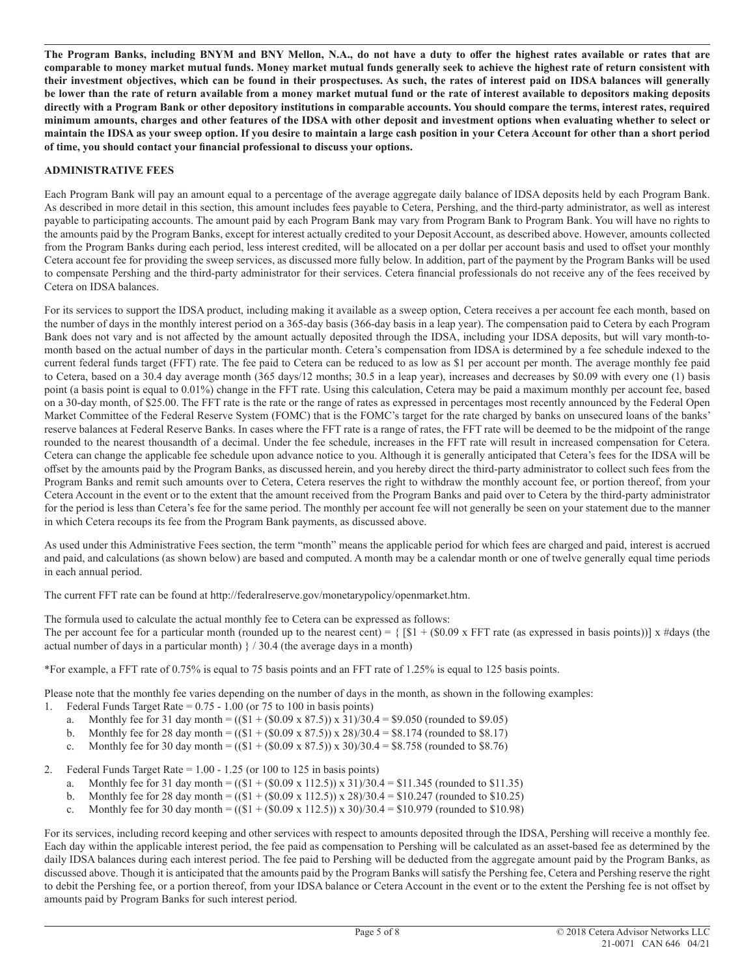**The Program Banks, including BNYM and BNY Mellon, N.A., do not have a duty to offer the highest rates available or rates that are comparable to money market mutual funds. Money market mutual funds generally seek to achieve the highest rate of return consistent with their investment objectives, which can be found in their prospectuses. As such, the rates of interest paid on IDSA balances will generally be lower than the rate of return available from a money market mutual fund or the rate of interest available to depositors making deposits directly with a Program Bank or other depository institutions in comparable accounts. You should compare the terms, interest rates, required minimum amounts, charges and other features of the IDSA with other deposit and investment options when evaluating whether to select or maintain the IDSA as your sweep option. If you desire to maintain a large cash position in your Cetera Account for other than a short period of time, you should contact your financial professional to discuss your options.**

#### **ADMINISTRATIVE FEES**

Each Program Bank will pay an amount equal to a percentage of the average aggregate daily balance of IDSA deposits held by each Program Bank. As described in more detail in this section, this amount includes fees payable to Cetera, Pershing, and the third-party administrator, as well as interest payable to participating accounts. The amount paid by each Program Bank may vary from Program Bank to Program Bank. You will have no rights to the amounts paid by the Program Banks, except for interest actually credited to your Deposit Account, as described above. However, amounts collected from the Program Banks during each period, less interest credited, will be allocated on a per dollar per account basis and used to offset your monthly Cetera account fee for providing the sweep services, as discussed more fully below. In addition, part of the payment by the Program Banks will be used to compensate Pershing and the third-party administrator for their services. Cetera financial professionals do not receive any of the fees received by Cetera on IDSA balances.

For its services to support the IDSA product, including making it available as a sweep option, Cetera receives a per account fee each month, based on the number of days in the monthly interest period on a 365-day basis (366-day basis in a leap year). The compensation paid to Cetera by each Program Bank does not vary and is not affected by the amount actually deposited through the IDSA, including your IDSA deposits, but will vary month-tomonth based on the actual number of days in the particular month. Cetera's compensation from IDSA is determined by a fee schedule indexed to the current federal funds target (FFT) rate. The fee paid to Cetera can be reduced to as low as \$1 per account per month. The average monthly fee paid to Cetera, based on a 30.4 day average month (365 days/12 months; 30.5 in a leap year), increases and decreases by \$0.09 with every one (1) basis point (a basis point is equal to 0.01%) change in the FFT rate. Using this calculation, Cetera may be paid a maximum monthly per account fee, based on a 30-day month, of \$25.00. The FFT rate is the rate or the range of rates as expressed in percentages most recently announced by the Federal Open Market Committee of the Federal Reserve System (FOMC) that is the FOMC's target for the rate charged by banks on unsecured loans of the banks' reserve balances at Federal Reserve Banks. In cases where the FFT rate is a range of rates, the FFT rate will be deemed to be the midpoint of the range rounded to the nearest thousandth of a decimal. Under the fee schedule, increases in the FFT rate will result in increased compensation for Cetera. Cetera can change the applicable fee schedule upon advance notice to you. Although it is generally anticipated that Cetera's fees for the IDSA will be offset by the amounts paid by the Program Banks, as discussed herein, and you hereby direct the third-party administrator to collect such fees from the Program Banks and remit such amounts over to Cetera, Cetera reserves the right to withdraw the monthly account fee, or portion thereof, from your Cetera Account in the event or to the extent that the amount received from the Program Banks and paid over to Cetera by the third-party administrator for the period is less than Cetera's fee for the same period. The monthly per account fee will not generally be seen on your statement due to the manner in which Cetera recoups its fee from the Program Bank payments, as discussed above.

As used under this Administrative Fees section, the term "month" means the applicable period for which fees are charged and paid, interest is accrued and paid, and calculations (as shown below) are based and computed. A month may be a calendar month or one of twelve generally equal time periods in each annual period.

The current FFT rate can be found at http://federalreserve.gov/monetarypolicy/openmarket.htm.

The formula used to calculate the actual monthly fee to Cetera can be expressed as follows:

The per account fee for a particular month (rounded up to the nearest cent) =  $\{$  [\$1 + (\$0.09 x FFT rate (as expressed in basis points))] x #days (the actual number of days in a particular month)  $/30.4$  (the average days in a month)

\*For example, a FFT rate of 0.75% is equal to 75 basis points and an FFT rate of 1.25% is equal to 125 basis points.

Please note that the monthly fee varies depending on the number of days in the month, as shown in the following examples:

- 1. Federal Funds Target Rate =  $0.75 1.00$  (or 75 to 100 in basis points)
	- a. Monthly fee for 31 day month =  $((\$1 + (\$0.09 \times 87.5)) \times 31)/30.4 = \$9.050$  (rounded to \$9.05)
	- b. Monthly fee for 28 day month =  $((\$1 + (\$0.09 \times 87.5)) \times 28)/30.4 = \$8.174$  (rounded to \$8.17)
	- c. Monthly fee for 30 day month =  $((\$1 + (\$0.09 \times 87.5)) \times 30)/30.4 = \$8.758$  (rounded to \$8.76)

2. Federal Funds Target Rate = 1.00 - 1.25 (or 100 to 125 in basis points)

- a. Monthly fee for 31 day month =  $((\$1 + (\$0.09 \times 112.5)) \times 31)/30.4 = \$11.345$  (rounded to \$11.35)
- b. Monthly fee for 28 day month =  $((\$1 + (\$0.09 \times 112.5)) \times 28)/30.4 = \$10.247$  (rounded to \$10.25)
- c. Monthly fee for 30 day month =  $((\$1 + (\$0.09 \times 112.5)) \times 30)/30.4 = \$10.979$  (rounded to \$10.98)

For its services, including record keeping and other services with respect to amounts deposited through the IDSA, Pershing will receive a monthly fee. Each day within the applicable interest period, the fee paid as compensation to Pershing will be calculated as an asset-based fee as determined by the daily IDSA balances during each interest period. The fee paid to Pershing will be deducted from the aggregate amount paid by the Program Banks, as discussed above. Though it is anticipated that the amounts paid by the Program Banks will satisfy the Pershing fee, Cetera and Pershing reserve the right to debit the Pershing fee, or a portion thereof, from your IDSA balance or Cetera Account in the event or to the extent the Pershing fee is not offset by amounts paid by Program Banks for such interest period.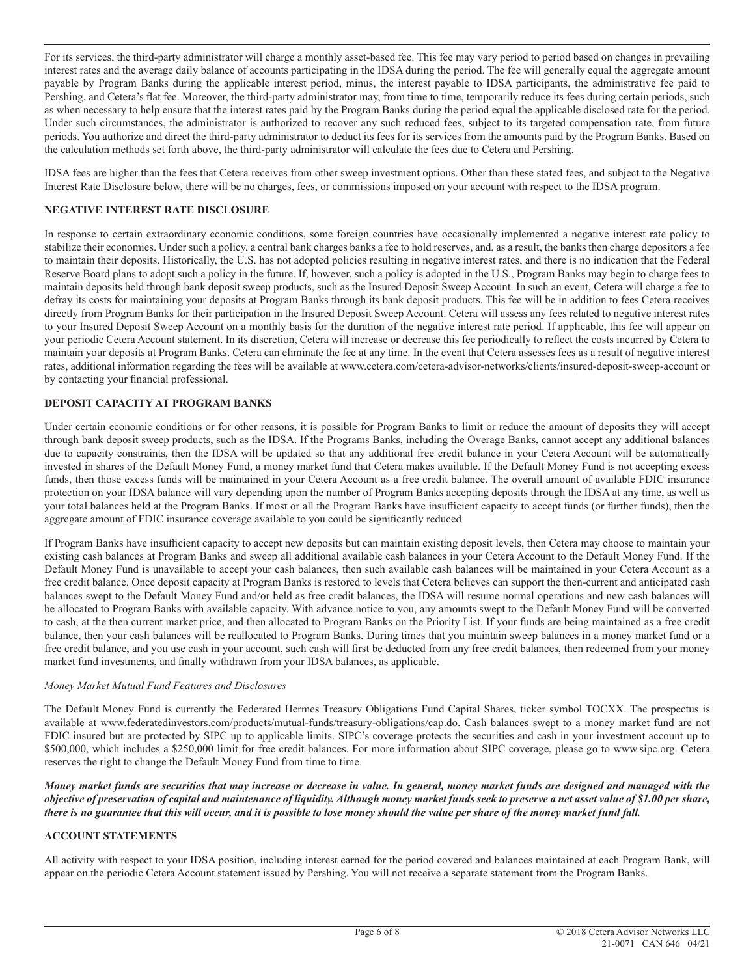For its services, the third-party administrator will charge a monthly asset-based fee. This fee may vary period to period based on changes in prevailing interest rates and the average daily balance of accounts participating in the IDSA during the period. The fee will generally equal the aggregate amount payable by Program Banks during the applicable interest period, minus, the interest payable to IDSA participants, the administrative fee paid to Pershing, and Cetera's flat fee. Moreover, the third-party administrator may, from time to time, temporarily reduce its fees during certain periods, such as when necessary to help ensure that the interest rates paid by the Program Banks during the period equal the applicable disclosed rate for the period. Under such circumstances, the administrator is authorized to recover any such reduced fees, subject to its targeted compensation rate, from future periods. You authorize and direct the third-party administrator to deduct its fees for its services from the amounts paid by the Program Banks. Based on the calculation methods set forth above, the third-party administrator will calculate the fees due to Cetera and Pershing.

IDSA fees are higher than the fees that Cetera receives from other sweep investment options. Other than these stated fees, and subject to the Negative Interest Rate Disclosure below, there will be no charges, fees, or commissions imposed on your account with respect to the IDSA program.

## **NEGATIVE INTEREST RATE DISCLOSURE**

In response to certain extraordinary economic conditions, some foreign countries have occasionally implemented a negative interest rate policy to stabilize their economies. Under such a policy, a central bank charges banks a fee to hold reserves, and, as a result, the banks then charge depositors a fee to maintain their deposits. Historically, the U.S. has not adopted policies resulting in negative interest rates, and there is no indication that the Federal Reserve Board plans to adopt such a policy in the future. If, however, such a policy is adopted in the U.S., Program Banks may begin to charge fees to maintain deposits held through bank deposit sweep products, such as the Insured Deposit Sweep Account. In such an event, Cetera will charge a fee to defray its costs for maintaining your deposits at Program Banks through its bank deposit products. This fee will be in addition to fees Cetera receives directly from Program Banks for their participation in the Insured Deposit Sweep Account. Cetera will assess any fees related to negative interest rates to your Insured Deposit Sweep Account on a monthly basis for the duration of the negative interest rate period. If applicable, this fee will appear on your periodic Cetera Account statement. In its discretion, Cetera will increase or decrease this fee periodically to reflect the costs incurred by Cetera to maintain your deposits at Program Banks. Cetera can eliminate the fee at any time. In the event that Cetera assesses fees as a result of negative interest rates, additional information regarding the fees will be available at www.cetera.com/cetera-advisor-networks/clients/insured-deposit-sweep-account or by contacting your financial professional.

## **DEPOSIT CAPACITY AT PROGRAM BANKS**

Under certain economic conditions or for other reasons, it is possible for Program Banks to limit or reduce the amount of deposits they will accept through bank deposit sweep products, such as the IDSA. If the Programs Banks, including the Overage Banks, cannot accept any additional balances due to capacity constraints, then the IDSA will be updated so that any additional free credit balance in your Cetera Account will be automatically invested in shares of the Default Money Fund, a money market fund that Cetera makes available. If the Default Money Fund is not accepting excess funds, then those excess funds will be maintained in your Cetera Account as a free credit balance. The overall amount of available FDIC insurance protection on your IDSA balance will vary depending upon the number of Program Banks accepting deposits through the IDSA at any time, as well as your total balances held at the Program Banks. If most or all the Program Banks have insufficient capacity to accept funds (or further funds), then the aggregate amount of FDIC insurance coverage available to you could be significantly reduced

If Program Banks have insufficient capacity to accept new deposits but can maintain existing deposit levels, then Cetera may choose to maintain your existing cash balances at Program Banks and sweep all additional available cash balances in your Cetera Account to the Default Money Fund. If the Default Money Fund is unavailable to accept your cash balances, then such available cash balances will be maintained in your Cetera Account as a free credit balance. Once deposit capacity at Program Banks is restored to levels that Cetera believes can support the then-current and anticipated cash balances swept to the Default Money Fund and/or held as free credit balances, the IDSA will resume normal operations and new cash balances will be allocated to Program Banks with available capacity. With advance notice to you, any amounts swept to the Default Money Fund will be converted to cash, at the then current market price, and then allocated to Program Banks on the Priority List. If your funds are being maintained as a free credit balance, then your cash balances will be reallocated to Program Banks. During times that you maintain sweep balances in a money market fund or a free credit balance, and you use cash in your account, such cash will first be deducted from any free credit balances, then redeemed from your money market fund investments, and finally withdrawn from your IDSA balances, as applicable.

#### *Money Market Mutual Fund Features and Disclosures*

The Default Money Fund is currently the Federated Hermes Treasury Obligations Fund Capital Shares, ticker symbol TOCXX. The prospectus is available at www.federatedinvestors.com/products/mutual-funds/treasury-obligations/cap.do. Cash balances swept to a money market fund are not FDIC insured but are protected by SIPC up to applicable limits. SIPC's coverage protects the securities and cash in your investment account up to \$500,000, which includes a \$250,000 limit for free credit balances. For more information about SIPC coverage, please go to www.sipc.org. Cetera reserves the right to change the Default Money Fund from time to time.

*Money market funds are securities that may increase or decrease in value. In general, money market funds are designed and managed with the objective of preservation of capital and maintenance of liquidity. Although money market funds seek to preserve a net asset value of \$1.00 per share, there is no guarantee that this will occur, and it is possible to lose money should the value per share of the money market fund fall.*

## **ACCOUNT STATEMENTS**

All activity with respect to your IDSA position, including interest earned for the period covered and balances maintained at each Program Bank, will appear on the periodic Cetera Account statement issued by Pershing. You will not receive a separate statement from the Program Banks.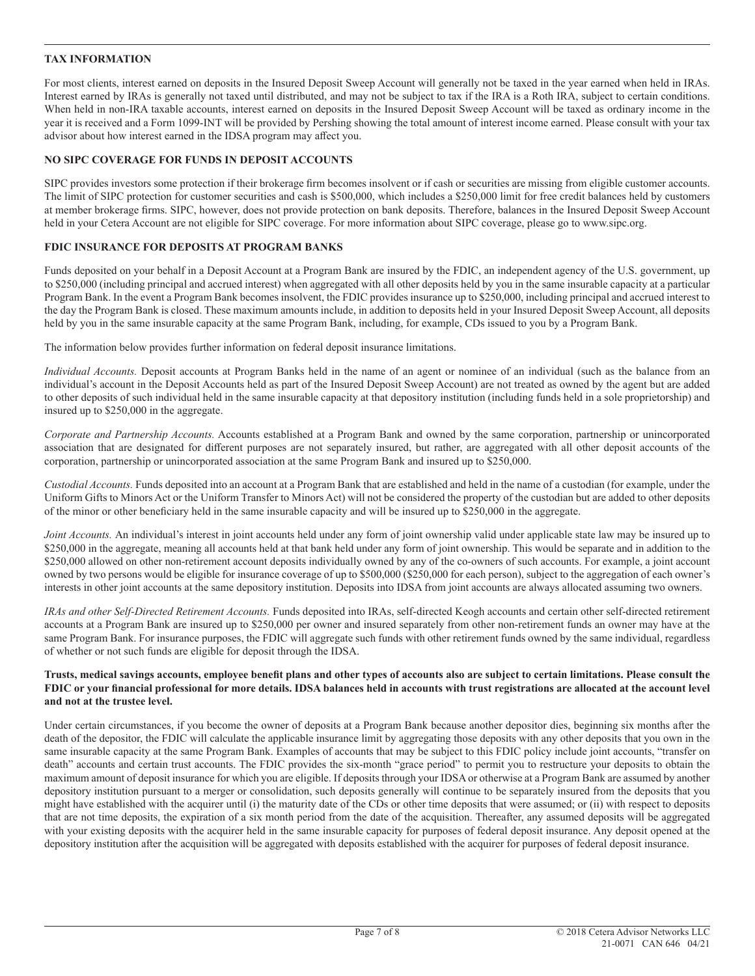## **TAX INFORMATION**

For most clients, interest earned on deposits in the Insured Deposit Sweep Account will generally not be taxed in the year earned when held in IRAs. Interest earned by IRAs is generally not taxed until distributed, and may not be subject to tax if the IRA is a Roth IRA, subject to certain conditions. When held in non-IRA taxable accounts, interest earned on deposits in the Insured Deposit Sweep Account will be taxed as ordinary income in the year it is received and a Form 1099-INT will be provided by Pershing showing the total amount of interest income earned. Please consult with your tax advisor about how interest earned in the IDSA program may affect you.

## **NO SIPC COVERAGE FOR FUNDS IN DEPOSIT ACCOUNTS**

SIPC provides investors some protection if their brokerage firm becomes insolvent or if cash or securities are missing from eligible customer accounts. The limit of SIPC protection for customer securities and cash is \$500,000, which includes a \$250,000 limit for free credit balances held by customers at member brokerage firms. SIPC, however, does not provide protection on bank deposits. Therefore, balances in the Insured Deposit Sweep Account held in your Cetera Account are not eligible for SIPC coverage. For more information about SIPC coverage, please go to www.sipc.org.

## **FDIC INSURANCE FOR DEPOSITS AT PROGRAM BANKS**

Funds deposited on your behalf in a Deposit Account at a Program Bank are insured by the FDIC, an independent agency of the U.S. government, up to \$250,000 (including principal and accrued interest) when aggregated with all other deposits held by you in the same insurable capacity at a particular Program Bank. In the event a Program Bank becomes insolvent, the FDIC provides insurance up to \$250,000, including principal and accrued interest to the day the Program Bank is closed. These maximum amounts include, in addition to deposits held in your Insured Deposit Sweep Account, all deposits held by you in the same insurable capacity at the same Program Bank, including, for example, CDs issued to you by a Program Bank.

The information below provides further information on federal deposit insurance limitations.

*Individual Accounts.* Deposit accounts at Program Banks held in the name of an agent or nominee of an individual (such as the balance from an individual's account in the Deposit Accounts held as part of the Insured Deposit Sweep Account) are not treated as owned by the agent but are added to other deposits of such individual held in the same insurable capacity at that depository institution (including funds held in a sole proprietorship) and insured up to \$250,000 in the aggregate.

*Corporate and Partnership Accounts.* Accounts established at a Program Bank and owned by the same corporation, partnership or unincorporated association that are designated for different purposes are not separately insured, but rather, are aggregated with all other deposit accounts of the corporation, partnership or unincorporated association at the same Program Bank and insured up to \$250,000.

*Custodial Accounts.* Funds deposited into an account at a Program Bank that are established and held in the name of a custodian (for example, under the Uniform Gifts to Minors Act or the Uniform Transfer to Minors Act) will not be considered the property of the custodian but are added to other deposits of the minor or other beneficiary held in the same insurable capacity and will be insured up to \$250,000 in the aggregate.

*Joint Accounts.* An individual's interest in joint accounts held under any form of joint ownership valid under applicable state law may be insured up to \$250,000 in the aggregate, meaning all accounts held at that bank held under any form of joint ownership. This would be separate and in addition to the \$250,000 allowed on other non-retirement account deposits individually owned by any of the co-owners of such accounts. For example, a joint account owned by two persons would be eligible for insurance coverage of up to \$500,000 (\$250,000 for each person), subject to the aggregation of each owner's interests in other joint accounts at the same depository institution. Deposits into IDSA from joint accounts are always allocated assuming two owners.

*IRAs and other Self-Directed Retirement Accounts.* Funds deposited into IRAs, self-directed Keogh accounts and certain other self-directed retirement accounts at a Program Bank are insured up to \$250,000 per owner and insured separately from other non-retirement funds an owner may have at the same Program Bank. For insurance purposes, the FDIC will aggregate such funds with other retirement funds owned by the same individual, regardless of whether or not such funds are eligible for deposit through the IDSA.

#### **Trusts, medical savings accounts, employee benefit plans and other types of accounts also are subject to certain limitations. Please consult the FDIC or your financial professional for more details. IDSA balances held in accounts with trust registrations are allocated at the account level and not at the trustee level.**

Under certain circumstances, if you become the owner of deposits at a Program Bank because another depositor dies, beginning six months after the death of the depositor, the FDIC will calculate the applicable insurance limit by aggregating those deposits with any other deposits that you own in the same insurable capacity at the same Program Bank. Examples of accounts that may be subject to this FDIC policy include joint accounts, "transfer on death" accounts and certain trust accounts. The FDIC provides the six-month "grace period" to permit you to restructure your deposits to obtain the maximum amount of deposit insurance for which you are eligible. If deposits through your IDSA or otherwise at a Program Bank are assumed by another depository institution pursuant to a merger or consolidation, such deposits generally will continue to be separately insured from the deposits that you might have established with the acquirer until (i) the maturity date of the CDs or other time deposits that were assumed; or (ii) with respect to deposits that are not time deposits, the expiration of a six month period from the date of the acquisition. Thereafter, any assumed deposits will be aggregated with your existing deposits with the acquirer held in the same insurable capacity for purposes of federal deposit insurance. Any deposit opened at the depository institution after the acquisition will be aggregated with deposits established with the acquirer for purposes of federal deposit insurance.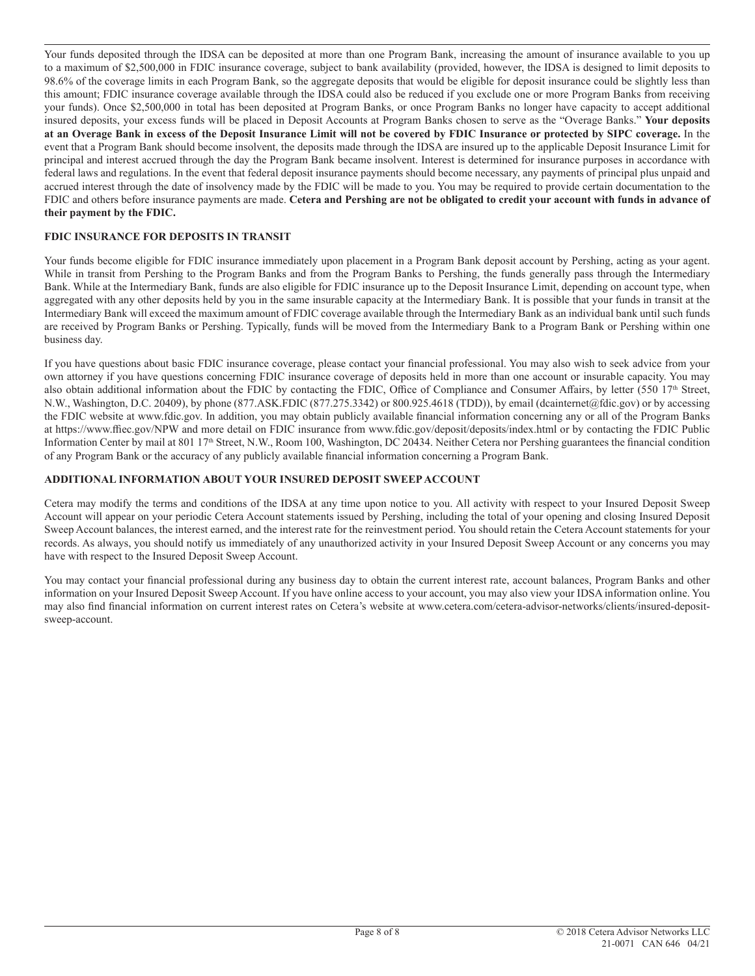Your funds deposited through the IDSA can be deposited at more than one Program Bank, increasing the amount of insurance available to you up to a maximum of \$2,500,000 in FDIC insurance coverage, subject to bank availability (provided, however, the IDSA is designed to limit deposits to 98.6% of the coverage limits in each Program Bank, so the aggregate deposits that would be eligible for deposit insurance could be slightly less than this amount; FDIC insurance coverage available through the IDSA could also be reduced if you exclude one or more Program Banks from receiving your funds). Once \$2,500,000 in total has been deposited at Program Banks, or once Program Banks no longer have capacity to accept additional insured deposits, your excess funds will be placed in Deposit Accounts at Program Banks chosen to serve as the "Overage Banks." **Your deposits at an Overage Bank in excess of the Deposit Insurance Limit will not be covered by FDIC Insurance or protected by SIPC coverage.** In the event that a Program Bank should become insolvent, the deposits made through the IDSA are insured up to the applicable Deposit Insurance Limit for principal and interest accrued through the day the Program Bank became insolvent. Interest is determined for insurance purposes in accordance with federal laws and regulations. In the event that federal deposit insurance payments should become necessary, any payments of principal plus unpaid and accrued interest through the date of insolvency made by the FDIC will be made to you. You may be required to provide certain documentation to the FDIC and others before insurance payments are made. **Cetera and Pershing are not be obligated to credit your account with funds in advance of their payment by the FDIC.**

## **FDIC INSURANCE FOR DEPOSITS IN TRANSIT**

Your funds become eligible for FDIC insurance immediately upon placement in a Program Bank deposit account by Pershing, acting as your agent. While in transit from Pershing to the Program Banks and from the Program Banks to Pershing, the funds generally pass through the Intermediary Bank. While at the Intermediary Bank, funds are also eligible for FDIC insurance up to the Deposit Insurance Limit, depending on account type, when aggregated with any other deposits held by you in the same insurable capacity at the Intermediary Bank. It is possible that your funds in transit at the Intermediary Bank will exceed the maximum amount of FDIC coverage available through the Intermediary Bank as an individual bank until such funds are received by Program Banks or Pershing. Typically, funds will be moved from the Intermediary Bank to a Program Bank or Pershing within one business day.

If you have questions about basic FDIC insurance coverage, please contact your financial professional. You may also wish to seek advice from your own attorney if you have questions concerning FDIC insurance coverage of deposits held in more than one account or insurable capacity. You may also obtain additional information about the FDIC by contacting the FDIC, Office of Compliance and Consumer Affairs, by letter  $(550\;17<sup>th</sup>$  Street, N.W., Washington, D.C. 20409), by phone (877.ASK.FDIC (877.275.3342) or 800.925.4618 (TDD)), by email (dcainternet@fdic.gov) or by accessing the FDIC website at www.fdic.gov. In addition, you may obtain publicly available financial information concerning any or all of the Program Banks at https://www.ffiec.gov/NPW and more detail on FDIC insurance from www.fdic.gov/deposit/deposits/index.html or by contacting the FDIC Public Information Center by mail at 801 17<sup>th</sup> Street, N.W., Room 100, Washington, DC 20434. Neither Cetera nor Pershing guarantees the financial condition of any Program Bank or the accuracy of any publicly available financial information concerning a Program Bank.

#### **ADDITIONAL INFORMATION ABOUT YOUR INSURED DEPOSIT SWEEP ACCOUNT**

Cetera may modify the terms and conditions of the IDSA at any time upon notice to you. All activity with respect to your Insured Deposit Sweep Account will appear on your periodic Cetera Account statements issued by Pershing, including the total of your opening and closing Insured Deposit Sweep Account balances, the interest earned, and the interest rate for the reinvestment period. You should retain the Cetera Account statements for your records. As always, you should notify us immediately of any unauthorized activity in your Insured Deposit Sweep Account or any concerns you may have with respect to the Insured Deposit Sweep Account.

You may contact your financial professional during any business day to obtain the current interest rate, account balances, Program Banks and other information on your Insured Deposit Sweep Account. If you have online access to your account, you may also view your IDSA information online. You may also find financial information on current interest rates on Cetera's website at www.cetera.com/cetera-advisor-networks/clients/insured-depositsweep-account.